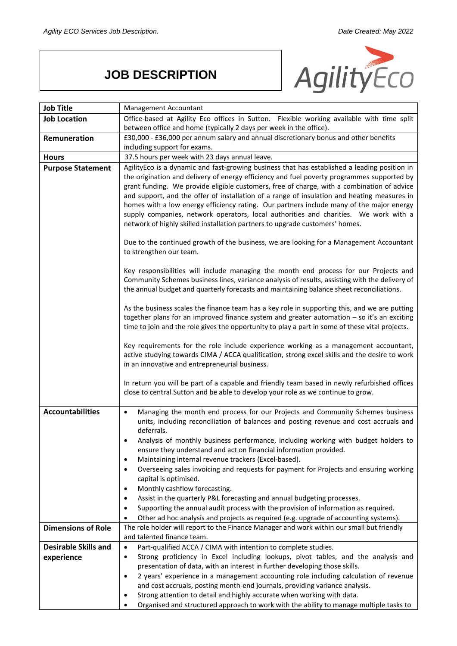## **JOB DESCRIPTION**



| <b>Job Title</b>            | Management Accountant                                                                                                                                                                                                                                                                                                                                                                                                                                                                                                                                                       |
|-----------------------------|-----------------------------------------------------------------------------------------------------------------------------------------------------------------------------------------------------------------------------------------------------------------------------------------------------------------------------------------------------------------------------------------------------------------------------------------------------------------------------------------------------------------------------------------------------------------------------|
| <b>Job Location</b>         | Office-based at Agility Eco offices in Sutton. Flexible working available with time split                                                                                                                                                                                                                                                                                                                                                                                                                                                                                   |
|                             | between office and home (typically 2 days per week in the office).                                                                                                                                                                                                                                                                                                                                                                                                                                                                                                          |
| Remuneration                | £30,000 - £36,000 per annum salary and annual discretionary bonus and other benefits                                                                                                                                                                                                                                                                                                                                                                                                                                                                                        |
|                             | including support for exams.                                                                                                                                                                                                                                                                                                                                                                                                                                                                                                                                                |
| <b>Hours</b>                | 37.5 hours per week with 23 days annual leave.                                                                                                                                                                                                                                                                                                                                                                                                                                                                                                                              |
| <b>Purpose Statement</b>    | AgilityEco is a dynamic and fast-growing business that has established a leading position in<br>the origination and delivery of energy efficiency and fuel poverty programmes supported by<br>grant funding. We provide eligible customers, free of charge, with a combination of advice<br>and support, and the offer of installation of a range of insulation and heating measures in<br>homes with a low energy efficiency rating. Our partners include many of the major energy<br>supply companies, network operators, local authorities and charities. We work with a |
|                             | network of highly skilled installation partners to upgrade customers' homes.<br>Due to the continued growth of the business, we are looking for a Management Accountant<br>to strengthen our team.                                                                                                                                                                                                                                                                                                                                                                          |
|                             | Key responsibilities will include managing the month end process for our Projects and<br>Community Schemes business lines, variance analysis of results, assisting with the delivery of<br>the annual budget and quarterly forecasts and maintaining balance sheet reconciliations.                                                                                                                                                                                                                                                                                         |
|                             | As the business scales the finance team has a key role in supporting this, and we are putting<br>together plans for an improved finance system and greater automation - so it's an exciting<br>time to join and the role gives the opportunity to play a part in some of these vital projects.                                                                                                                                                                                                                                                                              |
|                             | Key requirements for the role include experience working as a management accountant,<br>active studying towards CIMA / ACCA qualification, strong excel skills and the desire to work<br>in an innovative and entrepreneurial business.                                                                                                                                                                                                                                                                                                                                     |
|                             | In return you will be part of a capable and friendly team based in newly refurbished offices<br>close to central Sutton and be able to develop your role as we continue to grow.                                                                                                                                                                                                                                                                                                                                                                                            |
| <b>Accountabilities</b>     | Managing the month end process for our Projects and Community Schemes business<br>$\bullet$<br>units, including reconciliation of balances and posting revenue and cost accruals and<br>deferrals.                                                                                                                                                                                                                                                                                                                                                                          |
|                             | Analysis of monthly business performance, including working with budget holders to<br>ensure they understand and act on financial information provided.<br>Maintaining internal revenue trackers (Excel-based).<br>$\bullet$                                                                                                                                                                                                                                                                                                                                                |
|                             | Overseeing sales invoicing and requests for payment for Projects and ensuring working<br>$\bullet$<br>capital is optimised.<br>Monthly cashflow forecasting.<br>$\bullet$                                                                                                                                                                                                                                                                                                                                                                                                   |
|                             | Assist in the quarterly P&L forecasting and annual budgeting processes.<br>$\bullet$                                                                                                                                                                                                                                                                                                                                                                                                                                                                                        |
|                             | Supporting the annual audit process with the provision of information as required.                                                                                                                                                                                                                                                                                                                                                                                                                                                                                          |
|                             | Other ad hoc analysis and projects as required (e.g. upgrade of accounting systems).                                                                                                                                                                                                                                                                                                                                                                                                                                                                                        |
| <b>Dimensions of Role</b>   | The role holder will report to the Finance Manager and work within our small but friendly                                                                                                                                                                                                                                                                                                                                                                                                                                                                                   |
| <b>Desirable Skills and</b> | and talented finance team.<br>Part-qualified ACCA / CIMA with intention to complete studies.<br>$\bullet$                                                                                                                                                                                                                                                                                                                                                                                                                                                                   |
| experience                  | Strong proficiency in Excel including lookups, pivot tables, and the analysis and<br>$\bullet$                                                                                                                                                                                                                                                                                                                                                                                                                                                                              |
|                             | presentation of data, with an interest in further developing those skills.                                                                                                                                                                                                                                                                                                                                                                                                                                                                                                  |
|                             | 2 years' experience in a management accounting role including calculation of revenue<br>$\bullet$                                                                                                                                                                                                                                                                                                                                                                                                                                                                           |
|                             | and cost accruals, posting month-end journals, providing variance analysis.                                                                                                                                                                                                                                                                                                                                                                                                                                                                                                 |
|                             | Strong attention to detail and highly accurate when working with data.<br>$\bullet$                                                                                                                                                                                                                                                                                                                                                                                                                                                                                         |
|                             | Organised and structured approach to work with the ability to manage multiple tasks to                                                                                                                                                                                                                                                                                                                                                                                                                                                                                      |